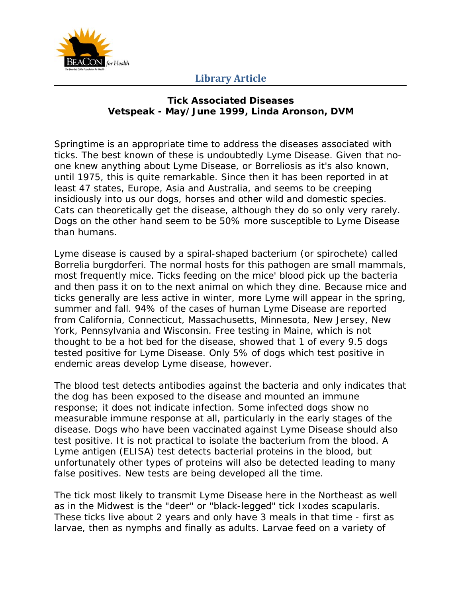

#### **Tick Associated Diseases Vetspeak - May/June 1999, Linda Aronson, DVM**

Springtime is an appropriate time to address the diseases associated with ticks. The best known of these is undoubtedly Lyme Disease. Given that noone knew anything about Lyme Disease, or Borreliosis as it's also known, until 1975, this is quite remarkable. Since then it has been reported in at least 47 states, Europe, Asia and Australia, and seems to be creeping insidiously into us our dogs, horses and other wild and domestic species. Cats can theoretically get the disease, although they do so only very rarely. Dogs on the other hand seem to be 50% more susceptible to Lyme Disease than humans.

Lyme disease is caused by a spiral-shaped bacterium (or spirochete) called *Borrelia burgdorferi*. The normal hosts for this pathogen are small mammals, most frequently mice. Ticks feeding on the mice' blood pick up the bacteria and then pass it on to the next animal on which they dine. Because mice and ticks generally are less active in winter, more Lyme will appear in the spring, summer and fall. 94% of the cases of human Lyme Disease are reported from California, Connecticut, Massachusetts, Minnesota, New Jersey, New York, Pennsylvania and Wisconsin. Free testing in Maine, which is not thought to be a hot bed for the disease, showed that 1 of every 9.5 dogs tested positive for Lyme Disease. Only 5% of dogs which test positive in endemic areas develop Lyme disease, however.

The blood test detects antibodies against the bacteria and only indicates that the dog has been exposed to the disease and mounted an immune response; it does not indicate infection. Some infected dogs show no measurable immune response at all, particularly in the early stages of the disease. Dogs who have been vaccinated against Lyme Disease should also test positive. It is not practical to isolate the bacterium from the blood. A Lyme antigen (ELISA) test detects bacterial proteins in the blood, but unfortunately other types of proteins will also be detected leading to many false positives. New tests are being developed all the time.

The tick most likely to transmit Lyme Disease here in the Northeast as well as in the Midwest is the "deer" or "black-legged" tick Ixodes scapularis. These ticks live about 2 years and only have 3 meals in that time - first as larvae, then as nymphs and finally as adults. Larvae feed on a variety of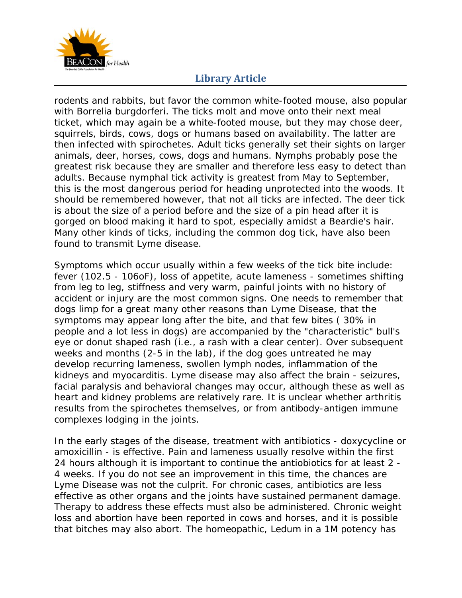

rodents and rabbits, but favor the common white-footed mouse, also popular with *Borrelia burgdorferi*. The ticks molt and move onto their next meal ticket, which may again be a white-footed mouse, but they may chose deer, squirrels, birds, cows, dogs or humans based on availability. The latter are then infected with spirochetes. Adult ticks generally set their sights on larger animals, deer, horses, cows, dogs and humans. Nymphs probably pose the greatest risk because they are smaller and therefore less easy to detect than adults. Because nymphal tick activity is greatest from May to September, this is the most dangerous period for heading unprotected into the woods. It should be remembered however, that not all ticks are infected. The deer tick is about the size of a period before and the size of a pin head after it is gorged on blood making it hard to spot, especially amidst a Beardie's hair. Many other kinds of ticks, including the common dog tick, have also been found to transmit Lyme disease.

Symptoms which occur usually within a few weeks of the tick bite include: fever (102.5 - 106oF), loss of appetite, acute lameness - sometimes shifting from leg to leg, stiffness and very warm, painful joints with no history of accident or injury are the most common signs. One needs to remember that dogs limp for a great many other reasons than Lyme Disease, that the symptoms may appear long after the bite, and that few bites ( 30% in people and a lot less in dogs) are accompanied by the "characteristic" bull's eye or donut shaped rash (i.e., a rash with a clear center). Over subsequent weeks and months (2-5 in the lab), if the dog goes untreated he may develop recurring lameness, swollen lymph nodes, inflammation of the kidneys and myocarditis. Lyme disease may also affect the brain - seizures, facial paralysis and behavioral changes may occur, although these as well as heart and kidney problems are relatively rare. It is unclear whether arthritis results from the spirochetes themselves, or from antibody-antigen immune complexes lodging in the joints.

In the early stages of the disease, treatment with antibiotics - doxycycline or amoxicillin - is effective. Pain and lameness usually resolve within the first 24 hours although it is important to continue the antiobiotics for at least 2 - 4 weeks. If you do not see an improvement in this time, the chances are Lyme Disease was not the culprit. For chronic cases, antibiotics are less effective as other organs and the joints have sustained permanent damage. Therapy to address these effects must also be administered. Chronic weight loss and abortion have been reported in cows and horses, and it is possible that bitches may also abort. The homeopathic, Ledum in a 1M potency has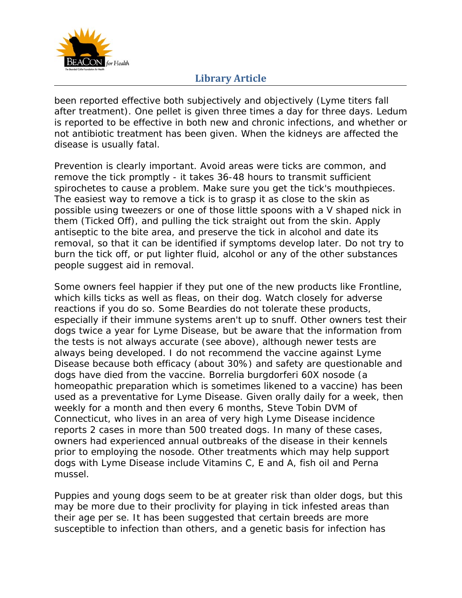

been reported effective both subjectively and objectively (Lyme titers fall after treatment). One pellet is given three times a day for three days. Ledum is reported to be effective in both new and chronic infections, and whether or not antibiotic treatment has been given. When the kidneys are affected the disease is usually fatal.

Prevention is clearly important. Avoid areas were ticks are common, and remove the tick promptly - it takes 36-48 hours to transmit sufficient spirochetes to cause a problem. Make sure you get the tick's mouthpieces. The easiest way to remove a tick is to grasp it as close to the skin as possible using tweezers or one of those little spoons with a V shaped nick in them (Ticked Off), and pulling the tick straight out from the skin. Apply antiseptic to the bite area, and preserve the tick in alcohol and date its removal, so that it can be identified if symptoms develop later. Do not try to burn the tick off, or put lighter fluid, alcohol or any of the other substances people suggest aid in removal.

Some owners feel happier if they put one of the new products like Frontline, which kills ticks as well as fleas, on their dog. Watch closely for adverse reactions if you do so. Some Beardies do not tolerate these products, especially if their immune systems aren't up to snuff. Other owners test their dogs twice a year for Lyme Disease, but be aware that the information from the tests is not always accurate (see above), although newer tests are always being developed. I do not recommend the vaccine against Lyme Disease because both efficacy (about 30%) and safety are questionable and dogs have died from the vaccine. Borrelia burgdorferi 60X nosode (a homeopathic preparation which is sometimes likened to a vaccine) has been used as a preventative for Lyme Disease. Given orally daily for a week, then weekly for a month and then every 6 months, Steve Tobin DVM of Connecticut, who lives in an area of very high Lyme Disease incidence reports 2 cases in more than 500 treated dogs. In many of these cases, owners had experienced annual outbreaks of the disease in their kennels prior to employing the nosode. Other treatments which may help support dogs with Lyme Disease include Vitamins C, E and A, fish oil and Perna mussel.

Puppies and young dogs seem to be at greater risk than older dogs, but this may be more due to their proclivity for playing in tick infested areas than their age per se. It has been suggested that certain breeds are more susceptible to infection than others, and a genetic basis for infection has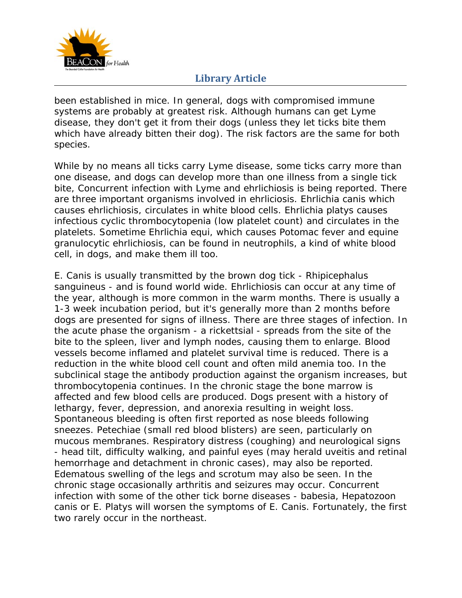

been established in mice. In general, dogs with compromised immune systems are probably at greatest risk. Although humans can get Lyme disease, they don't get it from their dogs (unless they let ticks bite them which have already bitten their dog). The risk factors are the same for both species.

While by no means all ticks carry Lyme disease, some ticks carry more than one disease, and dogs can develop more than one illness from a single tick bite, Concurrent infection with Lyme and ehrlichiosis is being reported. There are three important organisms involved in ehrliciosis. Ehrlichia canis which causes ehrlichiosis, circulates in white blood cells. Ehrlichia platys causes infectious cyclic thrombocytopenia (low platelet count) and circulates in the platelets. Sometime Ehrlichia equi, which causes Potomac fever and equine granulocytic ehrlichiosis, can be found in neutrophils, a kind of white blood cell, in dogs, and make them ill too.

*E. Canis* is usually transmitted by the brown dog tick - Rhipicephalus sanguineus - and is found world wide. Ehrlichiosis can occur at any time of the year, although is more common in the warm months. There is usually a 1-3 week incubation period, but it's generally more than 2 months before dogs are presented for signs of illness. There are three stages of infection. In the acute phase the organism - a rickettsial - spreads from the site of the bite to the spleen, liver and lymph nodes, causing them to enlarge. Blood vessels become inflamed and platelet survival time is reduced. There is a reduction in the white blood cell count and often mild anemia too. In the subclinical stage the antibody production against the organism increases, but thrombocytopenia continues. In the chronic stage the bone marrow is affected and few blood cells are produced. Dogs present with a history of lethargy, fever, depression, and anorexia resulting in weight loss. Spontaneous bleeding is often first reported as nose bleeds following sneezes. Petechiae (small red blood blisters) are seen, particularly on mucous membranes. Respiratory distress (coughing) and neurological signs - head tilt, difficulty walking, and painful eyes (may herald uveitis and retinal hemorrhage and detachment in chronic cases), may also be reported. Edematous swelling of the legs and scrotum may also be seen. In the chronic stage occasionally arthritis and seizures may occur. Concurrent infection with some of the other tick borne diseases - babesia, Hepatozoon canis or E. Platys will worsen the symptoms of *E. Canis*. Fortunately, the first two rarely occur in the northeast.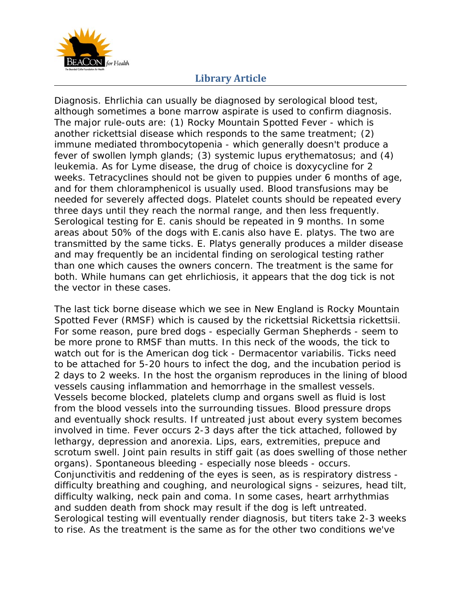

Diagnosis. Ehrlichia can usually be diagnosed by serological blood test, although sometimes a bone marrow aspirate is used to confirm diagnosis. The major rule-outs are: (1) Rocky Mountain Spotted Fever - which is another rickettsial disease which responds to the same treatment; (2) immune mediated thrombocytopenia - which generally doesn't produce a fever of swollen lymph glands; (3) systemic lupus erythematosus; and (4) leukemia. As for Lyme disease, the drug of choice is doxycycline for 2 weeks. Tetracyclines should not be given to puppies under 6 months of age, and for them chloramphenicol is usually used. Blood transfusions may be needed for severely affected dogs. Platelet counts should be repeated every three days until they reach the normal range, and then less frequently. Serological testing for E. canis should be repeated in 9 months. In some areas about 50% of the dogs with E.canis also have E. platys. The two are transmitted by the same ticks. E. Platys generally produces a milder disease and may frequently be an incidental finding on serological testing rather than one which causes the owners concern. The treatment is the same for both. While humans can get ehrlichiosis, it appears that the dog tick is not the vector in these cases.

The last tick borne disease which we see in New England is Rocky Mountain Spotted Fever (RMSF) which is caused by the rickettsial *Rickettsia rickettsii*. For some reason, pure bred dogs - especially German Shepherds - seem to be more prone to RMSF than mutts. In this neck of the woods, the tick to watch out for is the American dog tick - Dermacentor variabilis. Ticks need to be attached for 5-20 hours to infect the dog, and the incubation period is 2 days to 2 weeks. In the host the organism reproduces in the lining of blood vessels causing inflammation and hemorrhage in the smallest vessels. Vessels become blocked, platelets clump and organs swell as fluid is lost from the blood vessels into the surrounding tissues. Blood pressure drops and eventually shock results. If untreated just about every system becomes involved in time. Fever occurs 2-3 days after the tick attached, followed by lethargy, depression and anorexia. Lips, ears, extremities, prepuce and scrotum swell. Joint pain results in stiff gait (as does swelling of those nether organs). Spontaneous bleeding - especially nose bleeds - occurs. Conjunctivitis and reddening of the eyes is seen, as is respiratory distress difficulty breathing and coughing, and neurological signs - seizures, head tilt, difficulty walking, neck pain and coma. In some cases, heart arrhythmias and sudden death from shock may result if the dog is left untreated. Serological testing will eventually render diagnosis, but titers take 2-3 weeks to rise. As the treatment is the same as for the other two conditions we've